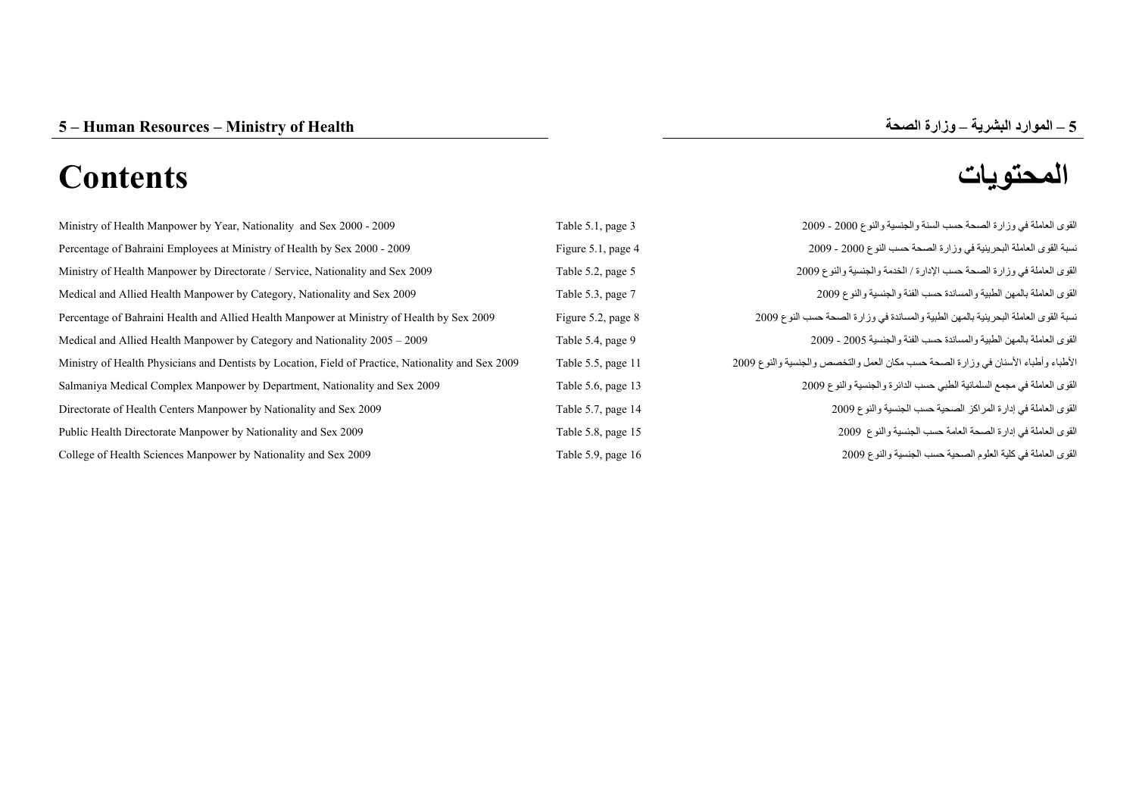# **المحتويات Contents**

| Ministry of Health Manpower by Year, Nationality and Sex 2000 - 2009                                | Table 5.1, page 3  | القوى العاملة في وزارة الصحة حسب السنة والجنسية والنوع 2000 - 2009                 |
|-----------------------------------------------------------------------------------------------------|--------------------|------------------------------------------------------------------------------------|
| Percentage of Bahraini Employees at Ministry of Health by Sex 2000 - 2009                           | Figure 5.1, page 4 | نسبة القوى العاملة البحرينية في وزارة الصحة حسب النوع 2000 - 2009                  |
| Ministry of Health Manpower by Directorate / Service, Nationality and Sex 2009                      | Table 5.2, page 5  | القوى العاملة في وزارة الصحة حسب الإدارة / الخدمة والجنسية والنوع 2009             |
| Medical and Allied Health Manpower by Category, Nationality and Sex 2009                            | Table 5.3, page 7  | القوى العاملة بالمهن الطبية والمساندة حسب الفئة والجنسية والنوع 2009               |
| Percentage of Bahraini Health and Allied Health Manpower at Ministry of Health by Sex 2009          | Figure 5.2, page 8 | نسبة القوى العاملة البحرينية بالمهن الطبية والمساندة في وزارة الصحة حسب النوع 2009 |
| Medical and Allied Health Manpower by Category and Nationality 2005 - 2009                          | Table 5.4, page 9  | القوى العاملة بالمهن الطبية والمساندة حسب الفئة والجنسية 2005 - 2009               |
| Ministry of Health Physicians and Dentists by Location, Field of Practice, Nationality and Sex 2009 | Table 5.5, page 11 | الأطباء وأطباء الأسنان في وزارة الصحة حسب مكان العمل والتخصص والجنسية والنوع 2009  |
| Salmaniya Medical Complex Manpower by Department, Nationality and Sex 2009                          | Table 5.6, page 13 | القوى العاملة في مجمع السلمانية الطبي حسب الدائرة والجنسية والنوع 2009             |
| Directorate of Health Centers Manpower by Nationality and Sex 2009                                  | Table 5.7, page 14 | القوى العاملة في إدارة المراكز الصحية حسب الجنسية والنوع 2009                      |
| Public Health Directorate Manpower by Nationality and Sex 2009                                      | Table 5.8, page 15 | القوى العاملة في إدارة الصحة العامة حسب الجنسية والنوع 2009                        |
| College of Health Sciences Manpower by Nationality and Sex 2009                                     | Table 5.9, page 16 | القوى العاملة في كلية العلوم الصحية حسب الجنسية والنوع 2009                        |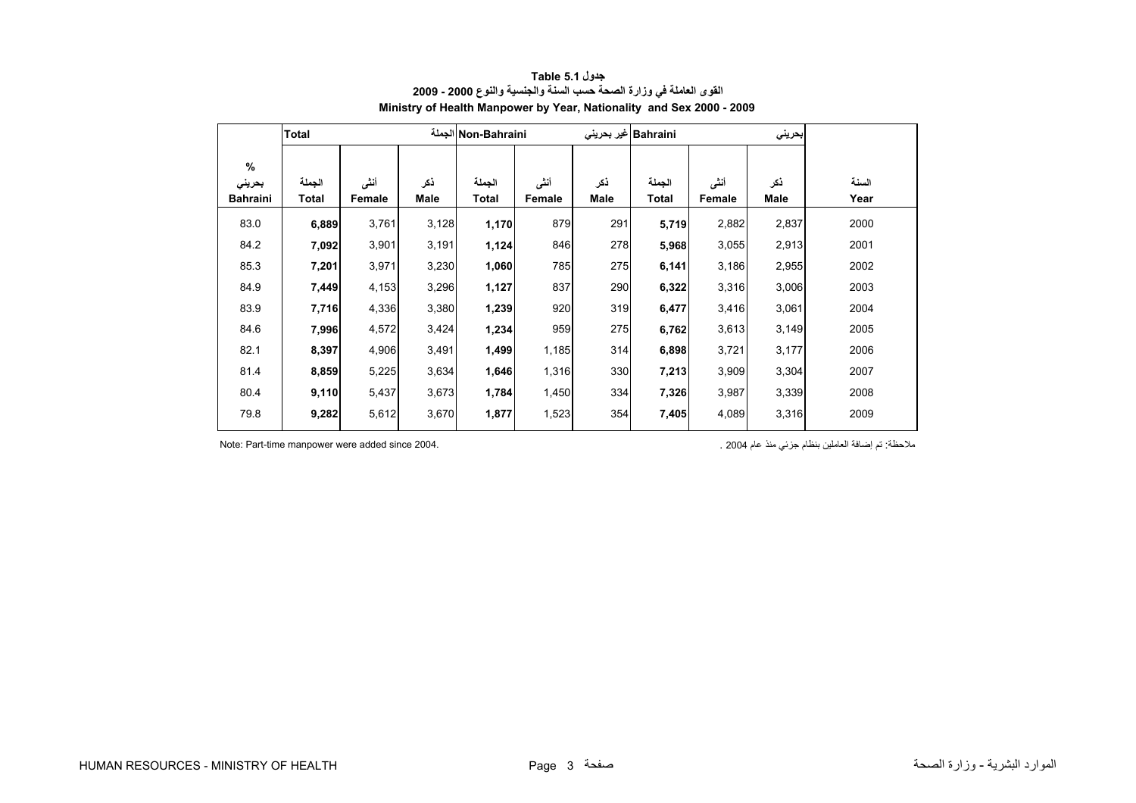<span id="page-1-0"></span>

|                 | <b>Total</b> | Non-Bahraini الجملة |       |        |        |      | Bahraini غیر بحرینی |        | بحريني |       |
|-----------------|--------------|---------------------|-------|--------|--------|------|---------------------|--------|--------|-------|
| $\%$<br>بحريني  | الجملة       | أنشى                | ذكر   | الجملة | أنشى   | نكر  | الجملة              | أنشى   | ذكر    | السنة |
| <b>Bahraini</b> | Total        | Female              | Male  | Total  | Female | Male | Total               | Female | Male   | Year  |
| 83.0            | 6,889        | 3,761               | 3,128 | 1,170  | 879    | 291  | 5,719               | 2,882  | 2,837  | 2000  |
| 84.2            | 7,092        | 3,901               | 3,191 | 1,124  | 846    | 278  | 5,968               | 3,055  | 2,913  | 2001  |
| 85.3            | 7,201        | 3,971               | 3,230 | 1,060  | 785    | 275  | 6,141               | 3,186  | 2,955  | 2002  |
| 84.9            | 7,449        | 4,153               | 3,296 | 1,127  | 837    | 290  | 6,322               | 3,316  | 3,006  | 2003  |
| 83.9            | 7,716        | 4,336               | 3,380 | 1,239  | 920    | 319  | 6,477               | 3,416  | 3,061  | 2004  |
| 84.6            | 7,996        | 4,572               | 3,424 | 1,234  | 959    | 275  | 6,762               | 3,613  | 3,149  | 2005  |
| 82.1            | 8,397        | 4,906               | 3,491 | 1,499  | 1,185  | 314  | 6,898               | 3,721  | 3,177  | 2006  |
| 81.4            | 8,859        | 5,225               | 3,634 | 1,646  | 1,316  | 330  | 7,213               | 3,909  | 3,304  | 2007  |
| 80.4            | 9,110        | 5,437               | 3,673 | 1,784  | 1,450  | 334  | 7,326               | 3,987  | 3,339  | 2008  |
| 79.8            | 9,282        | 5,612               | 3,670 | 1,877  | 1,523  | 354  | 7,405               | 4,089  | 3,316  | 2009  |

# **جدول 5.1 Table القوى العاملة في وزارة الصحة حسب السنة والجنسية والنوع 2000 - 2009 Ministry of Health Manpower by Year, Nationality and Sex 2000 - 2009**

ملاحظة: تم إضافة العاملين بنظام جزئي منذ عام 2004 . 2004 . 2004 . 2004 . 2004 . Since Part-time manpower were added since 2004 .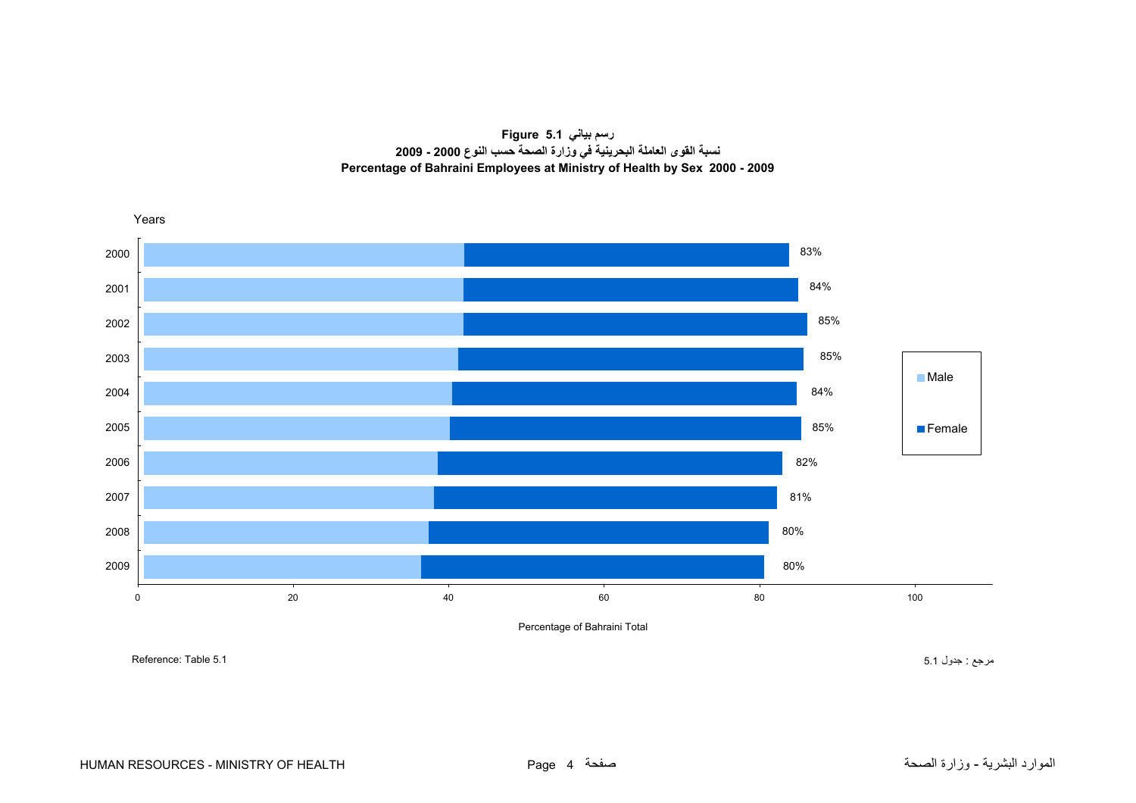**رسم بياني 5.1 Figure نسبة القوى العاملة البحرينية في وزارة الصحة حسب النوع 2000 - 2009 Percentage of Bahraini Employees at Ministry of Health by Sex 2000 - 2009**

<span id="page-2-0"></span>

Percentage of Bahraini Total

مرجع : جدول 5.1 5.1 Table :Reference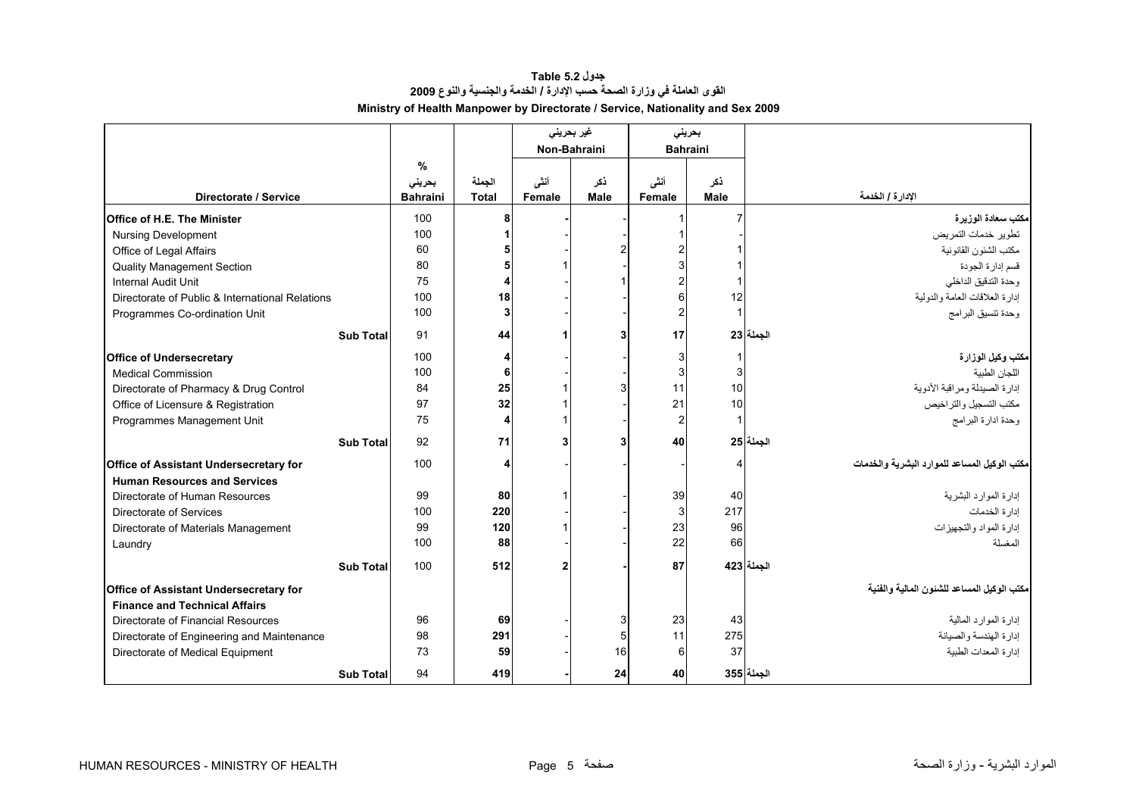#### **جدول 5.2 Table القوى العاملة في وزارة الصحة حسب الإدارة / الخدمة والجنسية والنوع <sup>2009</sup> Ministry of Health Manpower by Directorate / Service, Nationality and Sex 2009**

<span id="page-3-0"></span>

|                                                 |                  |                 |              | غیر بحرینی<br>Non-Bahraini |             | بحريني<br><b>Bahraini</b> |                         |                                              |
|-------------------------------------------------|------------------|-----------------|--------------|----------------------------|-------------|---------------------------|-------------------------|----------------------------------------------|
|                                                 |                  | $\frac{9}{6}$   |              |                            |             |                           |                         |                                              |
|                                                 |                  | بحريني          | الجملة       | أنشى                       | ذكر         | أننى                      | ذكر                     |                                              |
| Directorate / Service                           |                  | <b>Bahraini</b> | <b>Total</b> | Female                     | <b>Male</b> | Female                    | Male                    | الإدارة / الخدمة                             |
| Office of H.E. The Minister                     |                  | 100             | 8            |                            |             |                           | 7                       | مكتب سعادة الوزيرة                           |
| <b>Nursing Development</b>                      |                  | 100             |              |                            |             |                           |                         | تطوير خدمات التمريض                          |
| Office of Legal Affairs                         |                  | 60              |              |                            |             |                           |                         | مكتب الشئون القانونية                        |
| <b>Quality Management Section</b>               |                  | 80              |              |                            |             |                           |                         | قسم إدارة الجودة                             |
| <b>Internal Audit Unit</b>                      |                  | 75              | 4            |                            |             | $\overline{2}$            |                         | وحدة التدقيق الداخلي                         |
| Directorate of Public & International Relations |                  | 100             | 18           |                            |             | 6                         | 12                      | إدارة العلاقات العامة والدولية               |
| Programmes Co-ordination Unit                   |                  | 100             | 3            |                            |             | $\overline{c}$            | $\overline{\mathbf{1}}$ | وحدة تنسيق البرامج                           |
|                                                 | <b>Sub Total</b> | 91              | 44           |                            |             | 17                        |                         | الحملة 23                                    |
| <b>Office of Undersecretary</b>                 |                  | 100             | 4            |                            |             | 3                         |                         | مكتب وكيل الوزارة                            |
| <b>Medical Commission</b>                       |                  | 100             | 6            |                            |             | 3                         | 3                       | اللجان الطبية                                |
| Directorate of Pharmacy & Drug Control          |                  | 84              | 25           |                            |             | 11                        | 10                      | إدارة الصيدلة ومراقبة الأدوية                |
| Office of Licensure & Registration              |                  | 97              | 32           |                            |             | 21                        | 10                      | مكتب التسجيل والتراخيص                       |
| Programmes Management Unit                      |                  | 75              | 4            |                            |             | $\overline{2}$            |                         | وحدة ادارة البرامج                           |
|                                                 | <b>Sub Total</b> | 92              | 71           | 3                          |             | 40                        |                         | الحملة 25                                    |
| Office of Assistant Undersecretary for          |                  | 100             | Δ            |                            |             |                           | Δ                       | مكتب الوكيل المساعد للموارد البشرية والخدمات |
| <b>Human Resources and Services</b>             |                  |                 |              |                            |             |                           |                         |                                              |
| Directorate of Human Resources                  |                  | 99              | 80           | 1                          |             | 39                        | 40                      | إدارة الموارد البشرية                        |
| Directorate of Services                         |                  | 100             | 220          |                            |             | 3                         | 217                     | إدارة الخدمات                                |
| Directorate of Materials Management             |                  | 99              | 120          |                            |             | 23                        | 96                      | إدارة المواد والتجهيزات                      |
| Laundry                                         |                  | 100             | 88           |                            |             | 22                        | 66                      | المغسلة                                      |
|                                                 | <b>Sub Total</b> | 100             | 512          | $\mathbf{2}$               |             | 87                        |                         | الجملة 423                                   |
| Office of Assistant Undersecretary for          |                  |                 |              |                            |             |                           |                         | مكتب الوكيل المساعد للشئون المالية والفنية   |
| <b>Finance and Technical Affairs</b>            |                  |                 |              |                            |             |                           |                         |                                              |
| Directorate of Financial Resources              |                  | 96              | 69           |                            | 3           | 23                        | 43                      | إدار ة المو ار د المالية                     |
| Directorate of Engineering and Maintenance      |                  | 98              | 291          |                            |             | 11                        | 275                     | إدارة الهندسة والصيانة                       |
| Directorate of Medical Equipment                |                  | 73              | 59           |                            | 16          | 6                         | 37                      | إدارة المعدات الطبية                         |
|                                                 | <b>Sub Total</b> | 94              | 419          |                            | 24          | 40                        |                         | الجملة 355                                   |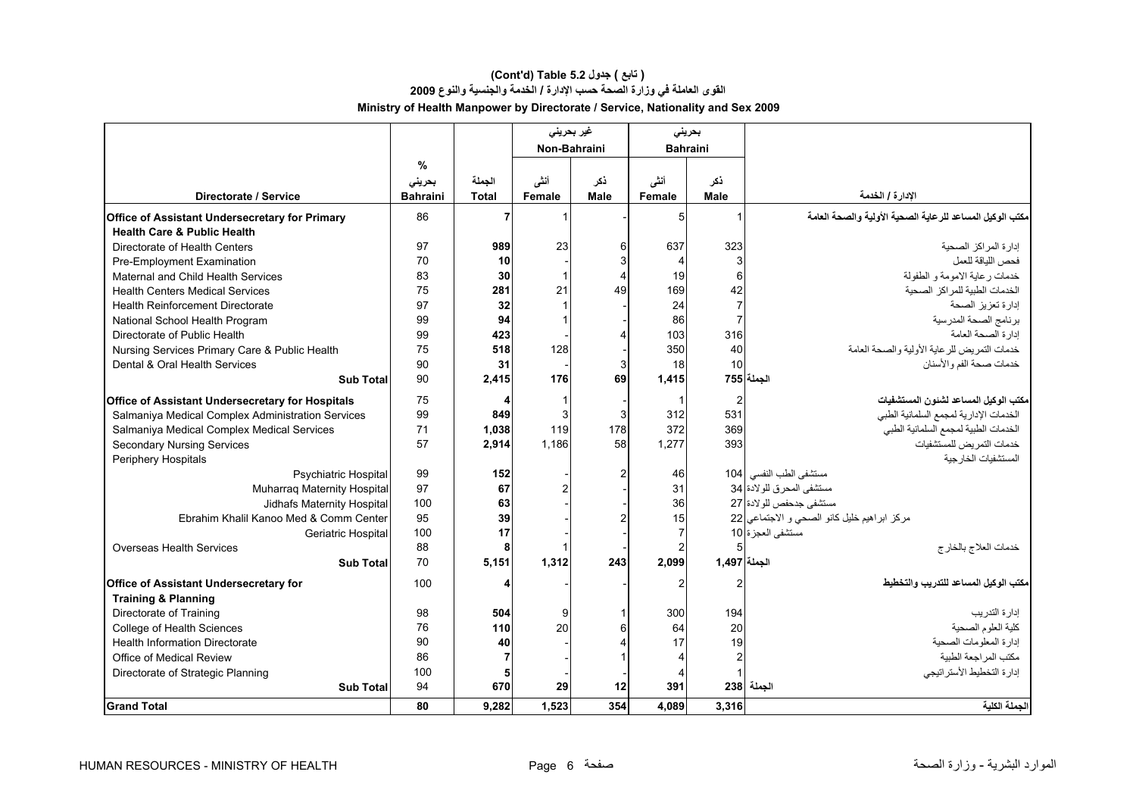# **(Cont'd) Table 5.2 جدول ) تابع( القوى العاملة في وزارة الصحة حسب الإدارة / الخدمة والجنسية والنوع <sup>2009</sup> Ministry of Health Manpower by Directorate / Service, Nationality and Sex 2009**

|                                                   |                 |                | غیر بحرینی   |                | بحرينى                  |                |                                                          |
|---------------------------------------------------|-----------------|----------------|--------------|----------------|-------------------------|----------------|----------------------------------------------------------|
|                                                   |                 |                | Non-Bahraini |                | <b>Bahraini</b>         |                |                                                          |
|                                                   | %               |                |              |                |                         |                |                                                          |
|                                                   | بحريني          | الجملة         | أنشى         | ذكر            | أنشى                    | ذكر            |                                                          |
| Directorate / Service                             | <b>Bahraini</b> | <b>Total</b>   | Female       | Male           | Female                  | <b>Male</b>    | الإدارة / الخدمة                                         |
| Office of Assistant Undersecretary for Primary    | 86              |                | 1            |                | 5                       |                | مكتب الوكيل المساعد للرعاية الصحية الأولية والصحة العامة |
| <b>Health Care &amp; Public Health</b>            |                 |                |              |                |                         |                |                                                          |
| Directorate of Health Centers                     | 97              | 989            | 23           | 6              | 637                     | 323            | إدارة المراكز الصحبة                                     |
| Pre-Employment Examination                        | 70              | 10             |              | 3              | $\overline{4}$          |                | فحص اللباقة للعمل                                        |
| Maternal and Child Health Services                | 83              | 30             | $\mathbf{1}$ | $\overline{4}$ | 19                      | 6              | خدمات رعاية الامومة و الطفولة                            |
| <b>Health Centers Medical Services</b>            | 75              | 281            | 21           | 49             | 169                     | 42             | الخدمات الطبية للمراكز الصحية                            |
| <b>Health Reinforcement Directorate</b>           | 97              | 32             |              |                | 24                      | $\overline{7}$ | إدارة تعزيز الصحة                                        |
| National School Health Program                    | 99              | 94             | 1            |                | 86                      |                | برنامج الصحة المدرسية                                    |
| Directorate of Public Health                      | 99              | 423            |              |                | 103                     | 316            | إدارة الصحة العامة                                       |
| Nursing Services Primary Care & Public Health     | 75              | 518            | 128          |                | 350                     | 40             | خدمات التمريض للرعاية الأولية والصحة العامة              |
| Dental & Oral Health Services                     | 90              | 31             |              | 3              | 18                      | 10             | خدمات صحة الفم والأسنان                                  |
| <b>Sub Total</b>                                  | 90              | 2.415          | 176          | 69             | 1,415                   |                | الجملة 755                                               |
| Office of Assistant Undersecretary for Hospitals  | 75              | 4              | $\mathbf{1}$ |                | $\overline{\mathbf{1}}$ | 2              | مكتب الوكيل المساعد لشئون المستشفيات                     |
| Salmaniya Medical Complex Administration Services | 99              | 849            | 3            | 3              | 312                     | 531            | الخدمات الإدارية لمجمع السلمانية الطبي                   |
| Salmaniya Medical Complex Medical Services        | 71              | 1,038          | 119          | 178            | 372                     | 369            | الخدمات الطبية لمجمع السلمانية الطبي                     |
| <b>Secondary Nursing Services</b>                 | 57              | 2,914          | 1,186        | 58             | 1.277                   | 393            | خدمات التمريض للمستشفيات                                 |
| Periphery Hospitals                               |                 |                |              |                |                         |                | المستشفيات الخارجية                                      |
| <b>Psychiatric Hospital</b>                       | 99              | 152            |              | $\mathcal{P}$  | 46                      |                | مستشفى الطب النفسي 104                                   |
| Muharraq Maternity Hospital                       | 97              | 67             |              |                | 31                      |                | مستشفى المحرق للولادة 34                                 |
| Jidhafs Maternity Hospital                        | 100             | 63             |              |                | 36                      |                | مستشفى جدحفص للولادة 27                                  |
| Ebrahim Khalil Kanoo Med & Comm Center            | 95              | 39             |              |                | 15                      |                | مركز ابراهيم خليل كانو الصحى و الاجتماعي 22              |
| Geriatric Hospital                                | 100             | 17             |              |                | $\overline{7}$          |                | مستشفى العجزة 10                                         |
| Overseas Health Services                          | 88              | 8              |              |                | $\mathcal{P}$           |                | خدمات العلاج بالخار ج                                    |
| <b>Sub Total</b>                                  | 70              | 5,151          | 1,312        | 243            | 2,099                   | الجملة 1,497   |                                                          |
| <b>Office of Assistant Undersecretary for</b>     | 100             | 4              |              |                | 2                       | 2              | بكتب الوكيل المساعد للتدريب والتخطيط                     |
| <b>Training &amp; Planning</b>                    |                 |                |              |                |                         |                |                                                          |
| Directorate of Training                           | 98              | 504            | 9            |                | 300                     | 194            | إدار ۃ التدر بب                                          |
| College of Health Sciences                        | 76              | 110            | 20           |                | 64                      | 20             | كلية العلوم الصحية                                       |
| <b>Health Information Directorate</b>             | 90              | 40             |              |                | 17                      | 19             | إدارة المعلومات الصحية                                   |
| Office of Medical Review                          | 86              | $\overline{7}$ |              |                | $\overline{\mathbf{A}}$ |                | مكتب المر اجعة الطببة                                    |
| Directorate of Strategic Planning                 | 100             | 5              |              |                |                         |                | إدارة التخطيط الأستر اتيجي                               |
| <b>Sub Total</b>                                  | 94              | 670            | 29           | 12             | 391                     |                | الجملة  238                                              |
| <b>Grand Total</b>                                | 80              | 9,282          | 1,523        | 354            | 4,089                   | 3,316          | الجملة الكلية                                            |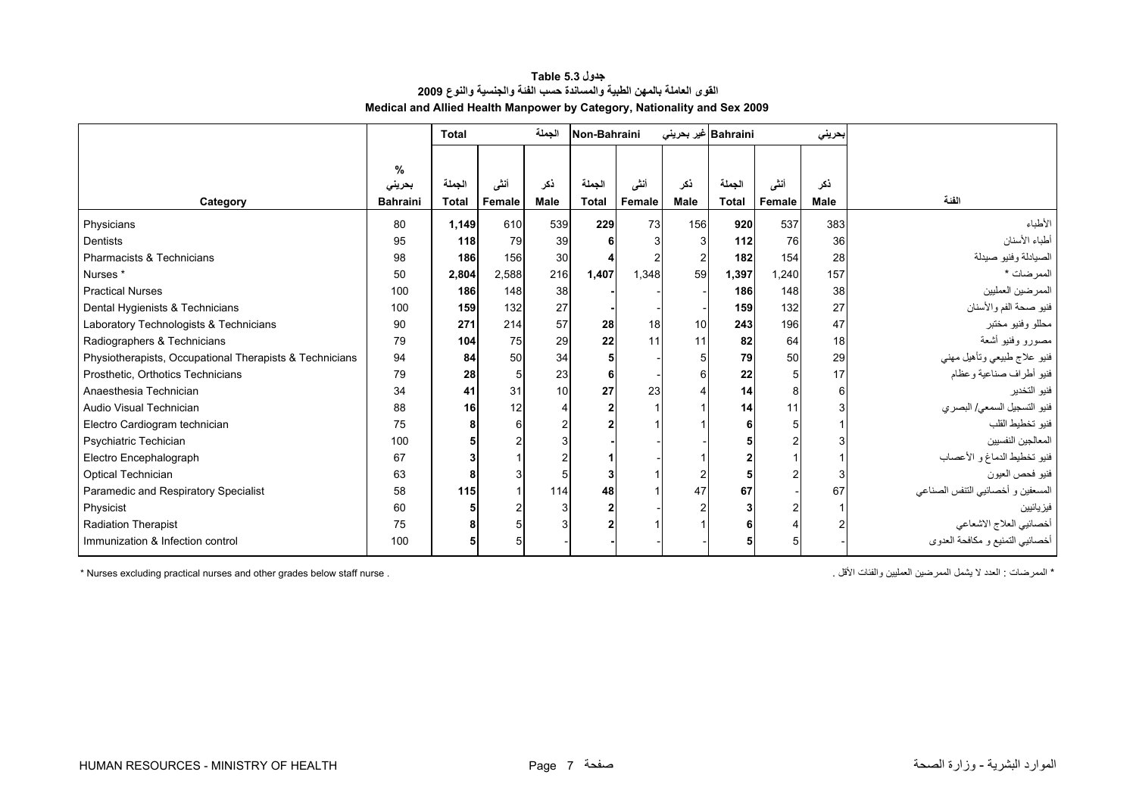| جدول Table 5.3                                                           |
|--------------------------------------------------------------------------|
| القوى العاملة بالمهن الطبية والمساندة حسب الفنة والجنسية والنوع 2009     |
| Medical and Allied Health Manpower by Category, Nationality and Sex 2009 |

<span id="page-5-0"></span>

|                                                         |                                | <b>Total</b>           |                | الجملة             | Non-Bahraini           |                       |                    | Bahraini غیر بحرین <i>ی</i> |                | بحريني             |                                   |
|---------------------------------------------------------|--------------------------------|------------------------|----------------|--------------------|------------------------|-----------------------|--------------------|-----------------------------|----------------|--------------------|-----------------------------------|
| Category                                                | %<br>بحريني<br><b>Bahraini</b> | الجملة<br><b>Total</b> | أننى<br>Female | ذكر<br><b>Male</b> | الجملة<br><b>Total</b> | أنشى<br><b>Female</b> | ذكر<br><b>Male</b> | الجملة<br><b>Total</b>      | أنشى<br>Female | ذكر<br><b>Male</b> | الفنة                             |
|                                                         |                                |                        |                |                    |                        |                       |                    |                             |                |                    |                                   |
| Physicians                                              | 80                             | 1,149                  | 610            | 539                | 229                    | 73                    | 156                | 920                         | 537            | 383                | الأطباء                           |
| <b>Dentists</b>                                         | 95                             | 118                    | 79             | 39                 | 6                      |                       |                    | 112                         | 76             | 36                 | أطباء الأسنان                     |
| Pharmacists & Technicians                               | 98                             | 186                    | 156            | 30                 |                        |                       |                    | 182                         | 154            | 28                 | الصيادلة وفنيو صيدلة              |
| Nurses <sup>*</sup>                                     | 50                             | 2,804                  | 2,588          | 216                | 1,407                  | 1,348                 | 59                 | 1,397                       | 1,240          | 157                | الممرضات *                        |
| <b>Practical Nurses</b>                                 | 100                            | 186                    | 148            | 38                 |                        |                       |                    | 186                         | 148            | 38                 | الممرضين العمليين                 |
| Dental Hygienists & Technicians                         | 100                            | 159                    | 132            | 27                 |                        |                       |                    | 159                         | 132            | 27                 | فنيو صحة الفم والأسنان            |
| Laboratory Technologists & Technicians                  | 90                             | 271                    | 214            | 57                 | 28                     | 18                    | 10                 | 243                         | 196            | 47                 | محللو وفنيو مختبر                 |
| Radiographers & Technicians                             | 79                             | 104                    | 75             | 29                 | 22                     | 11                    | 11                 | 82                          | 64             | 18                 | مصورو وفنيو أشعة                  |
| Physiotherapists, Occupational Therapists & Technicians | 94                             | 84                     | 50             | 34                 | 5                      |                       | 5                  | 79                          | 50             | 29                 | فنيو علاج طبيعي وتأهيل مهني       |
| Prosthetic, Orthotics Technicians                       | 79                             | 28                     | 5              | 23                 | 6                      |                       | 6                  | 22                          |                | 17                 | فنيو أطراف صناعية وعظام           |
| Anaesthesia Technician                                  | 34                             | 41                     | 31             | 10                 | 27                     | 23                    |                    | 14                          | 8              | 6                  | فنيو التخدير                      |
| Audio Visual Technician                                 | 88                             | 16                     | 12             |                    |                        |                       |                    | 14                          | 11             |                    | فنيو التسجيل السمعي/ البصري       |
| Electro Cardiogram technician                           | 75                             | 8                      | 6              |                    |                        |                       |                    |                             |                |                    | فنيو تخطيط القلب                  |
| Psychiatric Techician                                   | 100                            |                        |                |                    |                        |                       |                    |                             |                |                    | المعالجين النفسيين                |
| Electro Encephalograph                                  | 67                             |                        |                |                    |                        |                       |                    |                             |                |                    | فنيو تخطيط الدماغ و الأعصاب       |
| <b>Optical Technician</b>                               | 63                             | Я                      | 3              |                    | 3                      |                       |                    |                             | $\mathcal{P}$  |                    | فنيو فحص العيون                   |
| Paramedic and Respiratory Specialist                    | 58                             | 115                    |                | 114                | 48                     |                       | 47                 | 67                          |                | 67                 | المسعفين و أخصائيي الننفس الصناعي |
| Physicist                                               | 60                             |                        |                |                    |                        |                       |                    |                             |                |                    | فيز يائيين                        |
| Radiation Therapist                                     | 75                             |                        |                |                    |                        |                       |                    |                             |                |                    | أخصائيي العلاج الاشعاعي           |
| Immunization & Infection control                        | 100                            | 5                      |                |                    |                        |                       |                    |                             |                |                    | أخصائيي التمنيع و مكافحة العدوي   |

\* Nurses excluding practical nurses and other grades below staff nurse . . الأقل والفئات العمليين الممرضين يشمل لا العدد : الممرضات\*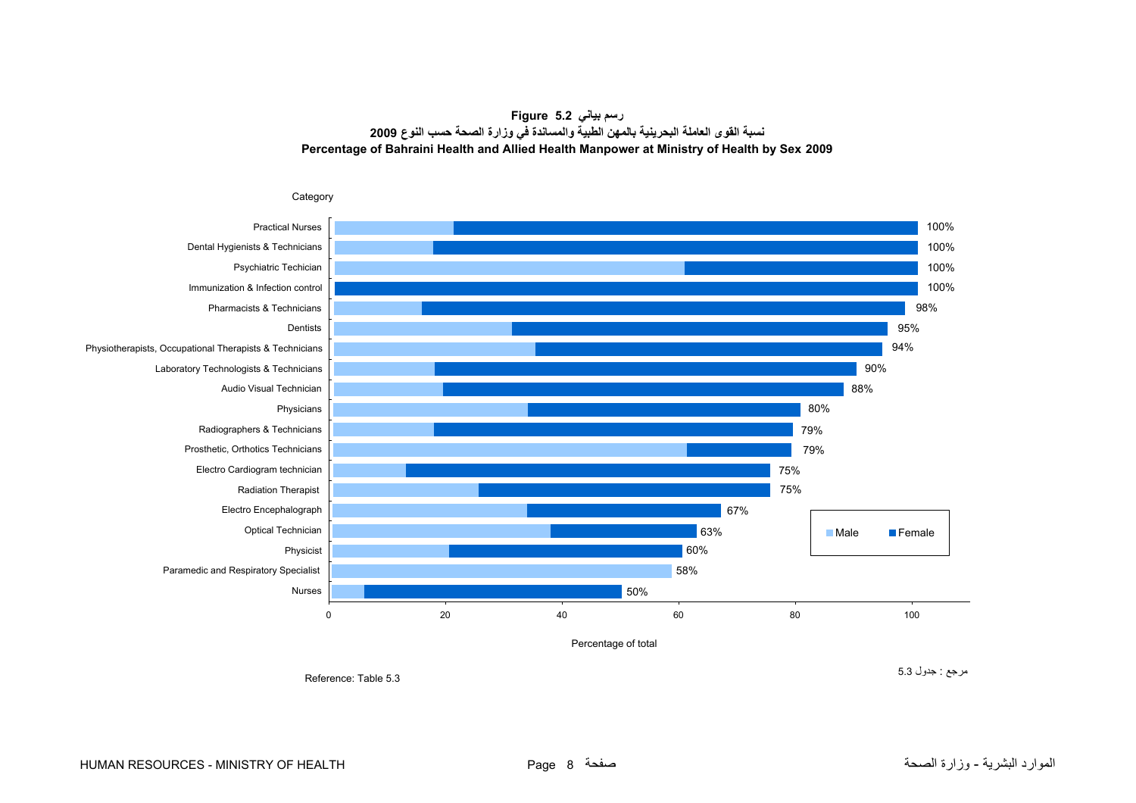**رسم بياني 5.2 Figure نسبة القوى العاملة البحرينية بالمهن الطبية والمساندة في وزارة الصحة حسب النوع <sup>2009</sup> Percentage of Bahraini Health and Allied Health Manpower at Ministry of Health by Sex 2009**

<span id="page-6-0"></span>

مرجع : جدول 5.3

Reference: Table 5.3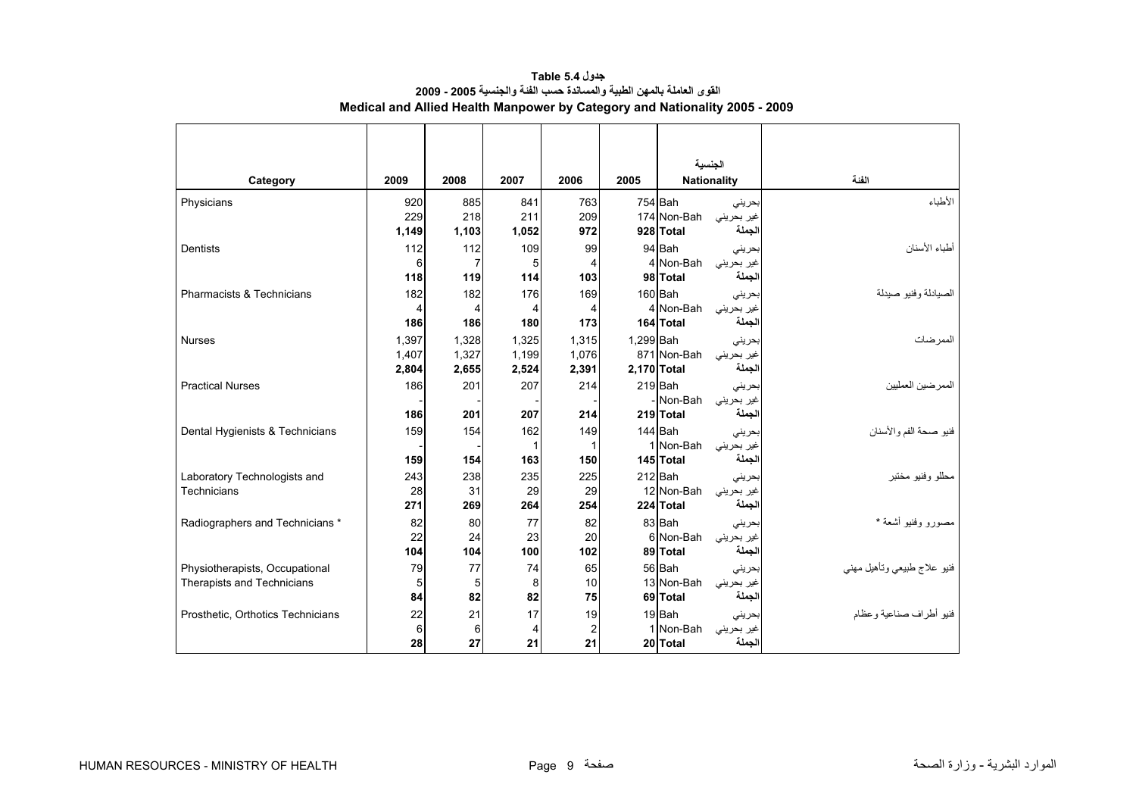<span id="page-7-0"></span>

|                                   |           |           |           |                      |           | الجنسبة                |                      |                             |
|-----------------------------------|-----------|-----------|-----------|----------------------|-----------|------------------------|----------------------|-----------------------------|
| Category                          | 2009      | 2008      | 2007      | 2006                 | 2005      | <b>Nationality</b>     |                      | الفنة                       |
| Physicians                        | 920       | 885       | 841       | 763                  |           | 754 Bah                | بحرينى               | الأطباء                     |
|                                   | 229       | 218       | 211       | 209                  |           | 174 Non-Bah            | غير بحريني           |                             |
|                                   | 1,149     | 1,103     | 1,052     | 972                  |           | 928 Total              | لجملة                |                             |
| <b>Dentists</b>                   | 112       | 112       | 109       | 99                   |           | 94 Bah                 | بحرينى               | أطباء الأسنان               |
|                                   | 6         |           | 5         | 4                    |           | 4 Non-Bah              | غير بحريني           |                             |
|                                   | 118       | 119       | 114       | 103                  |           | 98 Total               | لجملة                |                             |
| Pharmacists & Technicians         | 182       | 182       | 176       | 169                  |           | $160$ Bah              | بحرينى               | الصيادلة وفنيو صيدلة        |
|                                   | 4         | 4         | 4         | 4                    |           | 4 Non-Bah              | غیر بحرینی           |                             |
|                                   | 186       | 186       | 180       | 173                  |           | 164 Total              | الجملة               |                             |
| <b>Nurses</b>                     | 1.397     | 1.328     | 1.325     | 1,315                | 1.299 Bah |                        | بحرينى               | الممر ضات                   |
|                                   | 1,407     | 1,327     | 1,199     | 1,076                |           | 871 Non-Bah            | غير بحريني           |                             |
|                                   | 2,804     | 2,655     | 2,524     | 2,391                |           | 2,170 Total            | لجملة                |                             |
| <b>Practical Nurses</b>           | 186       | 201       | 207       | 214                  |           | 219 Bah                | بحريني               | الممرضين العمليين           |
|                                   |           |           |           |                      |           | - Non-Bah              | غیر بحرینی           |                             |
|                                   | 186       | 201       | 207       | 214                  |           | 219 Total              | لجملة                |                             |
| Dental Hygienists & Technicians   | 159       | 154       | 162       | 149                  |           | 144 Bah                | بحرينى               | فنيو صحة الفم والأسنان      |
|                                   |           |           |           |                      |           | 1 Non-Bah              | غير بحريني           |                             |
|                                   | 159       | 154       | 163       | 150                  |           | 145 Total              | لجملة                |                             |
| Laboratory Technologists and      | 243       | 238       | 235       | 225                  |           | 212 Bah                | بحريني               | محللو وفنيو مختبر           |
| Technicians                       | 28        | 31        | 29        | 29                   |           | 12 Non-Bah             | غیر بحرینی           |                             |
|                                   | 271       | 269       | 264       | 254                  |           | 224 Total              | لجملة                |                             |
| Radiographers and Technicians *   | 82        | 80        | 77        | 82                   |           | 83 Bah                 | بحرينى               | مصورو وفنيو أشعة *          |
|                                   | 22<br>104 | 24<br>104 | 23<br>100 | 20                   |           | 6 Non-Bah              | غیر بحرینی<br>الجملة |                             |
|                                   |           |           |           | 102                  |           | 89 Total               |                      |                             |
| Physiotherapists, Occupational    | 79        | 77        | 74        | 65                   |           | 56 Bah                 | بحريني               | فنيو علاج طبيعي ونأهيل مهنى |
| Therapists and Technicians        | 5<br>84   | 5<br>82   | 8<br>82   | 10<br>75             |           | 13 Non-Bah<br>69 Total | غير بحريني<br>الجملة |                             |
|                                   |           |           |           |                      |           |                        |                      |                             |
| Prosthetic, Orthotics Technicians | 22<br>6   | 21<br>6   | 17<br>4   | 19                   |           | 19 Bah<br>1 Non-Bah    | بحرينى               | فنيو أطر اف صناعية و عظام   |
|                                   | 28        | 27        | 21        | $\overline{2}$<br>21 |           | 20 Total               | غير بحريني<br>الجملة |                             |
|                                   |           |           |           |                      |           |                        |                      |                             |

**جدول 5.4 Table القوى العاملة بالمهن الطبية والمساندة حسب الفئة والجنسية 2005 - 2009 Medical and Allied Health Manpower by Category and Nationality 2005 - 2009**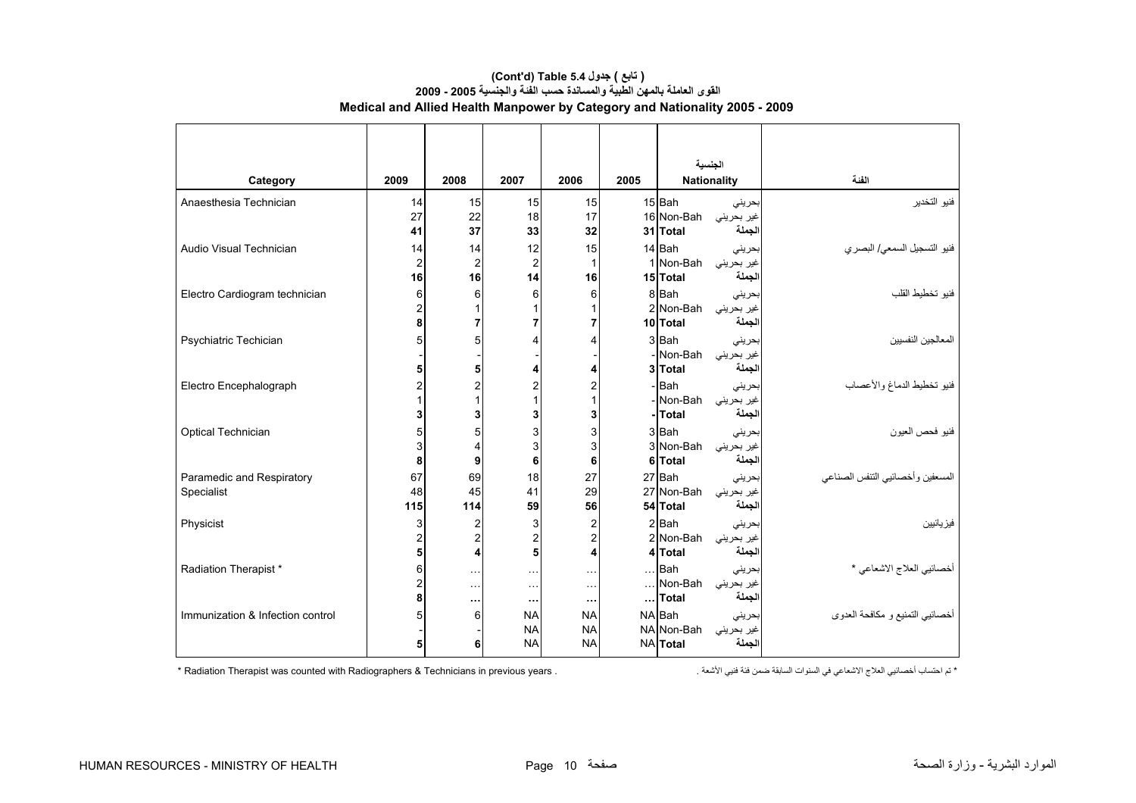| Category                         | 2009                | 2008           | 2007                       | 2006                  | 2005 | الجنسية                 | <b>Nationality</b>   | الفئة                            |
|----------------------------------|---------------------|----------------|----------------------------|-----------------------|------|-------------------------|----------------------|----------------------------------|
| Anaesthesia Technician           | 14                  | 15             | 15                         | 15                    |      | 15 Bah                  | بحرينى               | فنيو التخدير                     |
|                                  | 27                  | 22             | 18                         | 17                    |      | 16 Non-Bah              | غیر بحرینی           |                                  |
|                                  | 41                  | 37             | 33                         | 32                    |      | 31 Total                | لجملة                |                                  |
| Audio Visual Technician          | 14                  | 14             | 12                         | 15                    |      | 14 Bah                  | بحريني               | فنيو التسجيل السمعي/ البصري      |
|                                  | $\overline{2}$      | $\overline{2}$ | $\overline{c}$             |                       |      | 1 Non-Bah               | غیر بحرینی           |                                  |
|                                  | 16                  | 16             | 14                         | 16                    |      | 15 Total                | لجملة                |                                  |
| Electro Cardiogram technician    | 6                   | 6              | 6                          | 6                     |      | 8 Bah                   | بحريني               | فنيو تخطيط القلب                 |
|                                  | $\overline{2}$<br>8 | 7              |                            |                       |      | 2 Non-Bah<br>10 Total   | غير بحريني<br>لجملة  |                                  |
|                                  |                     |                |                            |                       |      |                         |                      |                                  |
| Psychiatric Techician            | 5                   | 5              |                            |                       |      | 3 Bah<br>- Non-Bah      | بحرينى<br>غیر بحرینی | المعالجين النفسيين               |
|                                  | 5                   | 5              |                            |                       |      | 3 Total                 | الجملة               |                                  |
| Electro Encephalograph           | 2                   | 2              |                            |                       |      | - Bah                   | بحرينى               | فنيو تخطيط الدماغ والأعصاب       |
|                                  |                     |                |                            |                       |      | - Non-Bah               | غیر بحرینی           |                                  |
|                                  |                     | 3              |                            | 3                     |      | -Total                  | لجملة                |                                  |
| Optical Technician               |                     | 5              | 3                          | 3                     |      | 3 Bah                   | بحريني               | فنيو فحص العيون                  |
|                                  | 3                   | 4              | 3                          | 3                     |      | 3 Non-Bah               | غیر بحرینی           |                                  |
|                                  | 8                   | 9              | 6                          | 6                     |      | 6 Total                 | لجملة                |                                  |
| Paramedic and Respiratory        | 67                  | 69             | 18                         | 27                    |      | 27 Bah                  | بحريني               | المسعفين وأخصائيي التنفس الصناعي |
| Specialist                       | 48                  | 45             | 41                         | 29                    |      | 27 Non-Bah              | غیر بحرینی           |                                  |
|                                  | 115                 | 114            | 59                         | 56                    |      | 54 Total                | لجملة                |                                  |
| Physicist                        | 3                   | 2              | 3                          | 2                     |      | 2 Bah                   | بحرينى               | فيز يائيين                       |
|                                  | 2<br>5              | 2              | 2<br>5                     | $\overline{2}$        |      | 2 Non-Bah<br>4 Total    | غیر بحرینی<br>لجملة  |                                  |
|                                  |                     | 4              |                            |                       |      |                         |                      |                                  |
| Radiation Therapist*             | 6<br>2              | $\cdots$       | $\cdots$                   | $\sim$ $\sim$         |      | $\ldots$ Bah<br>Non-Bah | بحرينى               | أخصائيي العلاج الاشعاعي *        |
|                                  | 8                   | $\cdots$       | $\sim$ $\sim$<br>$\ddotsc$ | $\sim$                |      | Total                   | غير بحريني<br>لجملة  |                                  |
| Immunization & Infection control |                     | <br>6          | <b>NA</b>                  | $\cdots$<br><b>NA</b> |      | NA Bah                  | بحرينى               | أخصائيي التمنيع و مكافحة العدوى  |
|                                  |                     |                | <b>NA</b>                  | <b>NA</b>             |      | NA Non-Bah              | غیر بحرینی           |                                  |
|                                  | 5                   | 6              | <b>NA</b>                  | <b>NA</b>             |      | <b>NA</b> Total         | لجملة                |                                  |

#### **(Cont'd) Table 5.4 جدول ) تابع( القوى العاملة بالمهن الطبية والمساندة حسب الفئة والجنسية 2005 - 2009 Medical and Allied Health Manpower by Category and Nationality 2005 - 2009**

\* تم احتساب أخصائيي العلاج الاشعاعي في السنوات السابقة ضمن فئة فنيي الأشعة . . Radiation Therapist was counted with Radiographers & Technicians in previous years \*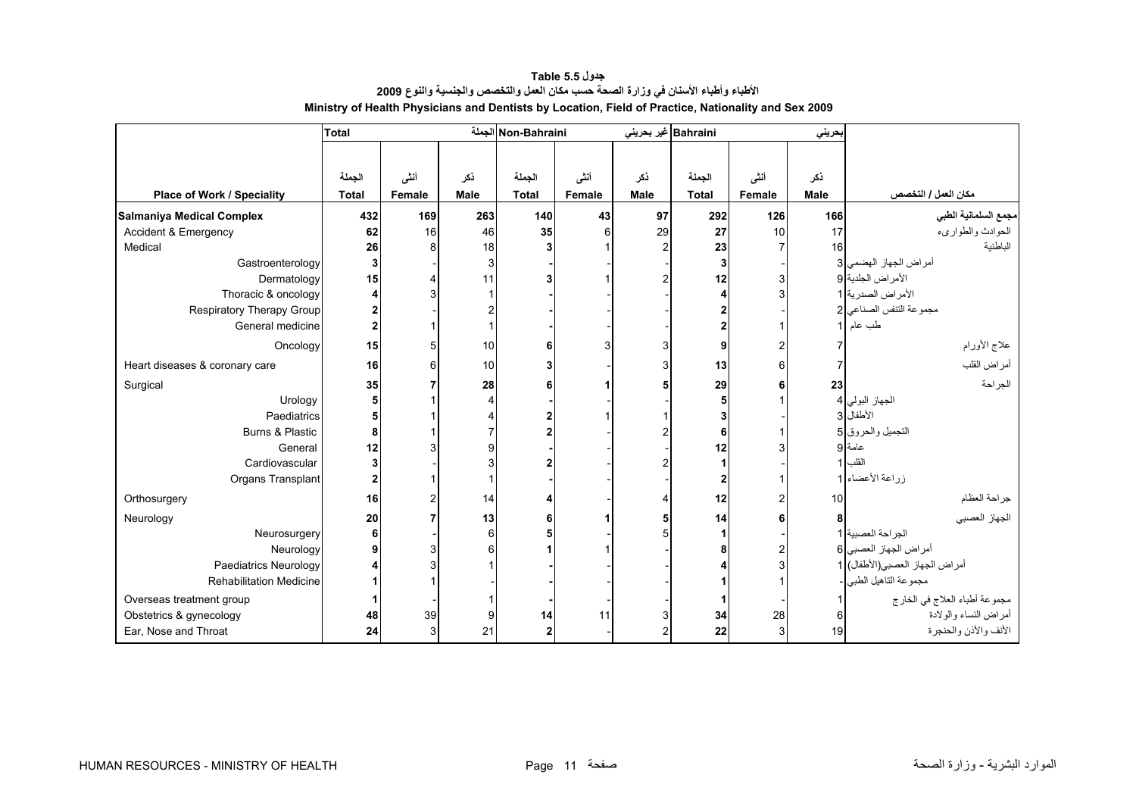<span id="page-9-0"></span>

|                                  | <b>Total</b>   |        |                | Non-Bahraini الجملة |        | Bahraini غیر بحرینی |              |                 | بحريني |                                |
|----------------------------------|----------------|--------|----------------|---------------------|--------|---------------------|--------------|-----------------|--------|--------------------------------|
|                                  |                |        |                |                     |        |                     |              |                 |        |                                |
|                                  | الجملة         | أنشى   | ذكر            | الجملة              | أنشى   | ذكر                 | الجملة       | أنشى            | نكر    |                                |
| Place of Work / Speciality       | <b>Total</b>   | Female | Male           | <b>Total</b>        | Female | <b>Male</b>         | <b>Total</b> | Female          | Male   | مكان العمل / التخصص            |
| <b>Salmaniya Medical Complex</b> | 432            | 169    | 263            | 140                 | 43     | 97                  | 292          | 126             | 166    | مجمع السلمانية الطبي           |
| <b>Accident &amp; Emergency</b>  | 62             | 16     | 46             | 35                  | 6      | 29                  | 27           | 10 <sup>1</sup> | 17     | الحوادث والطواريء              |
| Medical                          | 26             |        | 18             |                     |        |                     | 23           |                 | 16     | الباطنية                       |
| Gastroenterology                 | 3              |        | 3              |                     |        |                     | 3            |                 |        | أمراض الجهاز الهضمى 3          |
| Dermatology                      | 15             |        | 11             |                     |        |                     | 12           | 3               |        | الأمراض الجلدية 9              |
| Thoracic & oncology              |                |        |                |                     |        |                     |              |                 |        | الأمراض الصدرية 1              |
| Respiratory Therapy Group        |                |        | 2              |                     |        |                     |              |                 |        | مجموعة التنفس الصناعي 2        |
| General medicine                 | $\overline{2}$ |        |                |                     |        |                     |              |                 |        | طب عام                         |
|                                  |                |        |                |                     |        |                     |              |                 |        |                                |
| Oncology                         | 15             |        | 10             |                     |        |                     | 9            |                 |        | علاج الأورام                   |
| Heart diseases & coronary care   | 16             |        | 10             |                     |        |                     | 13           | 6               |        | أمراض القلب                    |
| Surgical                         | 35             |        | 28             |                     |        |                     | 29           |                 | 23     | الجراحة                        |
| Urology                          | 5              |        | $\overline{4}$ |                     |        |                     |              |                 |        | الجهاز البولي 4                |
| Paediatrics                      | 5              |        |                |                     |        |                     |              |                 |        | الأطفال 3                      |
| Burns & Plastic                  | 8              |        |                |                     |        |                     | 6            |                 |        | التجميل والحروق 5              |
| General                          | 12             |        | 9              |                     |        |                     | 12           |                 |        | عامة 9                         |
| Cardiovascular                   | 3              |        | 3              |                     |        |                     |              |                 |        | القلب                          |
| Organs Transplant                | $\overline{2}$ |        |                |                     |        |                     | 2            |                 |        | زراعة الأعضاء 1                |
| Orthosurgery                     | 16             |        | 14             |                     |        |                     | 12           |                 | 10     | جراحة العظام                   |
| Neurology                        | 20             |        | 13             |                     |        |                     | 14           |                 |        | الجهاز العصبي                  |
| Neurosurgery                     | 6              |        | 6              |                     |        |                     |              |                 |        | الجراحة العصبية 1              |
| Neurology                        | 9              |        | 6              |                     |        |                     |              | 2               |        | أمراض الجهاز العصبي 6          |
| Paediatrics Neurology            |                |        |                |                     |        |                     |              |                 |        | أمراض الجهاز العصبي(الأطفال) 1 |
| <b>Rehabilitation Medicine</b>   |                |        |                |                     |        |                     |              |                 |        | مجموعة التاهيل الطبي           |
| Overseas treatment group         |                |        |                |                     |        |                     |              |                 |        | مجموعة أطباء العلاج في الخارج  |
| Obstetrics & gynecology          | 48             | 39     | 9              | 14                  | 11     |                     | 34           | 28              |        | أمر اض النساء و الو لادة       |
| Ear, Nose and Throat             | 24             |        | 21             |                     |        |                     | 22           | 3               | 19     | الأنف والأذن والحنجرة          |

**جدول 5.5 Table الأطباء وأطباء الأسنان في وزارة الصحة حسب مكان العمل والتخصص والجنسية والنوع <sup>2009</sup> Ministry of Health Physicians and Dentists by Location, Field of Practice, Nationality and Sex 2009**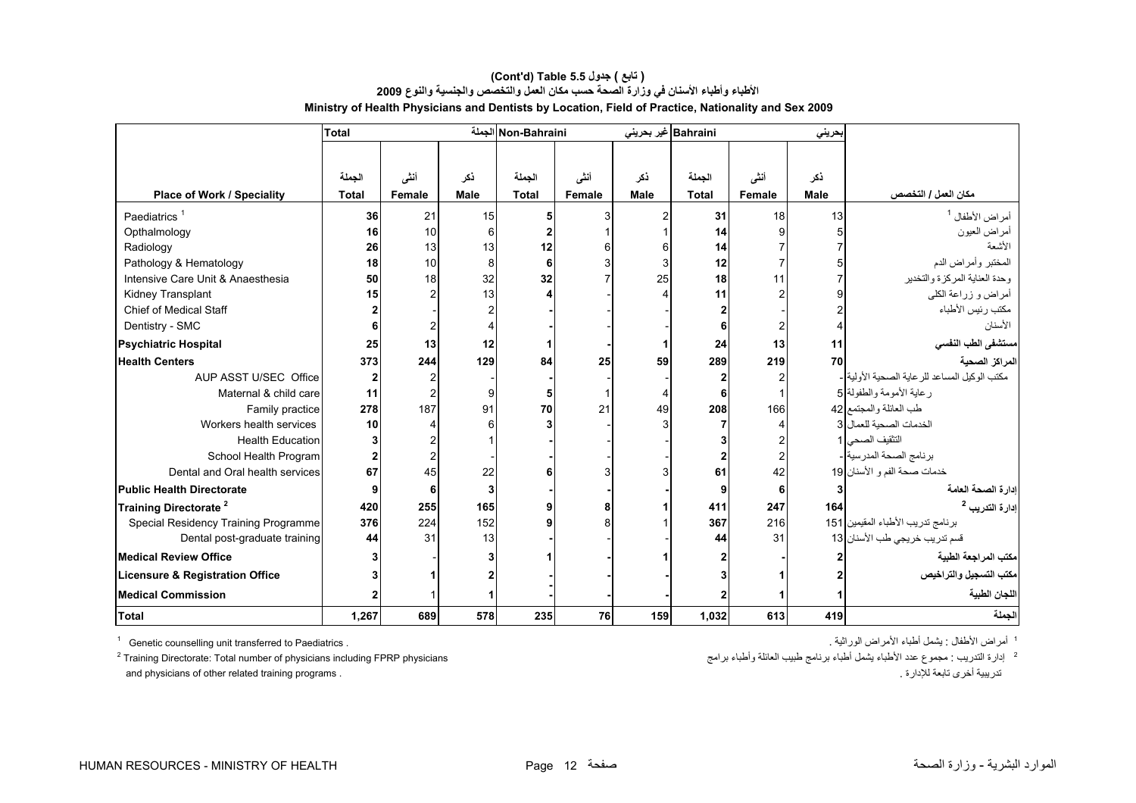|                                      | <b>Total</b> |                |             | Non-Bahraini الجملة |        |             | Bahraini غير بحريني |        | بحريني      |                                                |
|--------------------------------------|--------------|----------------|-------------|---------------------|--------|-------------|---------------------|--------|-------------|------------------------------------------------|
|                                      |              |                |             |                     |        |             |                     |        |             |                                                |
|                                      | الجملة       | أنشى           | ڏکر         | الجملة              | أنشى   | ذكر         | الجملة              | أنشى   | نكر         |                                                |
| <b>Place of Work / Speciality</b>    | <b>Total</b> | Female         | <b>Male</b> | <b>Total</b>        | Female | <b>Male</b> | <b>Total</b>        | Female | <b>Male</b> | مكان العمل / التخصص                            |
|                                      |              |                |             |                     |        |             |                     |        |             |                                                |
| Paediatrics <sup>1</sup>             | 36           | 21             | 15          |                     | 3      |             | 31                  | 18     | 13          | أمراض الأطفال <sup>1</sup>                     |
| Opthalmology                         | 16           | 10             | 6           |                     |        |             | 14                  |        |             | أمراض العيون<br>الأسعة                         |
| Radiology                            | 26           | 13             | 13          | 12                  |        |             | 14                  |        |             |                                                |
| Pathology & Hematology               | 18           | 10             | 8           |                     |        |             | 12                  |        |             | المختبر وأمراض الدم                            |
| Intensive Care Unit & Anaesthesia    | 50           | 18             | 32          | 32                  |        | 25          | 18                  | 11     |             | وحدة العناية المركزة والتخدير                  |
| Kidney Transplant                    | 15           | $\mathfrak{p}$ | 13          |                     |        |             | 11                  |        |             | أمراض و زراعة الكلي                            |
| <b>Chief of Medical Staff</b>        |              |                |             |                     |        |             |                     |        |             | مكتب رئيس الأطباء                              |
| Dentistry - SMC                      |              |                | Δ           |                     |        |             |                     |        |             | الأسنان                                        |
| <b>Psychiatric Hospital</b>          | 25           | 13             | 12          |                     |        |             | 24                  | 13     | 11          | مستشفى الطب النفسي                             |
| <b>Health Centers</b>                | 373          | 244            | 129         | 84                  | 25     | 59          | 289                 | 219    | 70          | المراكز الصحية                                 |
| AUP ASST U/SEC Office                |              |                |             |                     |        |             |                     |        |             | مكتب الوكيل المساعد للر عاية الصحية الأولية  - |
| Maternal & child care                | 11           |                | 9           |                     |        |             | 6                   |        |             | ر عاية الأمومة والطفولة [5                     |
| Family practice                      | 278          | 187            | 91          | 70                  | 21     | 49          | 208                 | 166    |             | طب العائلة والمجتمع 32                         |
| Workers health services              | 10           |                |             |                     |        |             |                     |        |             | الخدمات الصحية للعمال 3                        |
| <b>Health Education</b>              |              |                |             |                     |        |             |                     |        |             | التثقيف الصحى 1                                |
| School Health Program                |              | $\overline{2}$ |             |                     |        |             |                     |        |             | برنامج الصحة المدرسية -                        |
| Dental and Oral health services      | 67           | 45             | 22          |                     |        |             | 61                  | 42     |             | خدمات صحة الفم و الأسنان 19                    |
| <b>Public Health Directorate</b>     |              | 6              | 3           |                     |        |             | 9                   | 6      |             | ادار ة الصحة العامة                            |
| Training Directorate <sup>2</sup>    | 420          | 255            | 165         |                     | 8      |             | 411                 | 247    | 164         | إدارة التدريب <sup>2</sup>                     |
| Special Residency Training Programme | 376          | 224            | 152         |                     |        |             | 367                 | 216    |             | برنامج تدريب الأطباء المقيمين 151              |
| Dental post-graduate training        | 44           | 31             | 13          |                     |        |             | 44                  | 31     |             | قسم تدريب خريجي طب الأسنان  13                 |
| <b>Medical Review Office</b>         |              |                |             |                     |        |             |                     |        |             | مكتب المراجعة الطبية                           |
| Licensure & Registration Office      |              |                |             |                     |        |             |                     |        |             | مكتب التسجيل والتراخيص                         |
| <b>Medical Commission</b>            |              |                |             |                     |        |             |                     |        |             | اللجان الطبية                                  |
| Total                                | 1,267        | 689            | 578         | 235                 | 76     | 159         | 1,032               | 613    | 419         | الجملة                                         |

#### **الأطباء وأطباء الأسنان في وزارة الصحة حسب مكان العمل والتخصص والجنسية والنوع <sup>2009</sup> Ministry of Health Physicians and Dentists by Location, Field of Practice, Nationality and Sex 2009 (Cont'd) Table 5.5 جدول ) تابع(**

<sup>1</sup> Genetic counselling unit transferred to Paediatrics .

 $2$  Training Directorate: Total number of physicians including FPRP physicians and physicians of other related training programs . . للإدارة تابعة أخرى تدريبية

<sup>1</sup> أمراض الأطفال : يشمل أطباء الأمراض الوراثية .

ء<br>2- إدارة التدريب : مجموع عدد الأطباء يثسل أطباء برنامج طبيب العائلة وأطباء برامج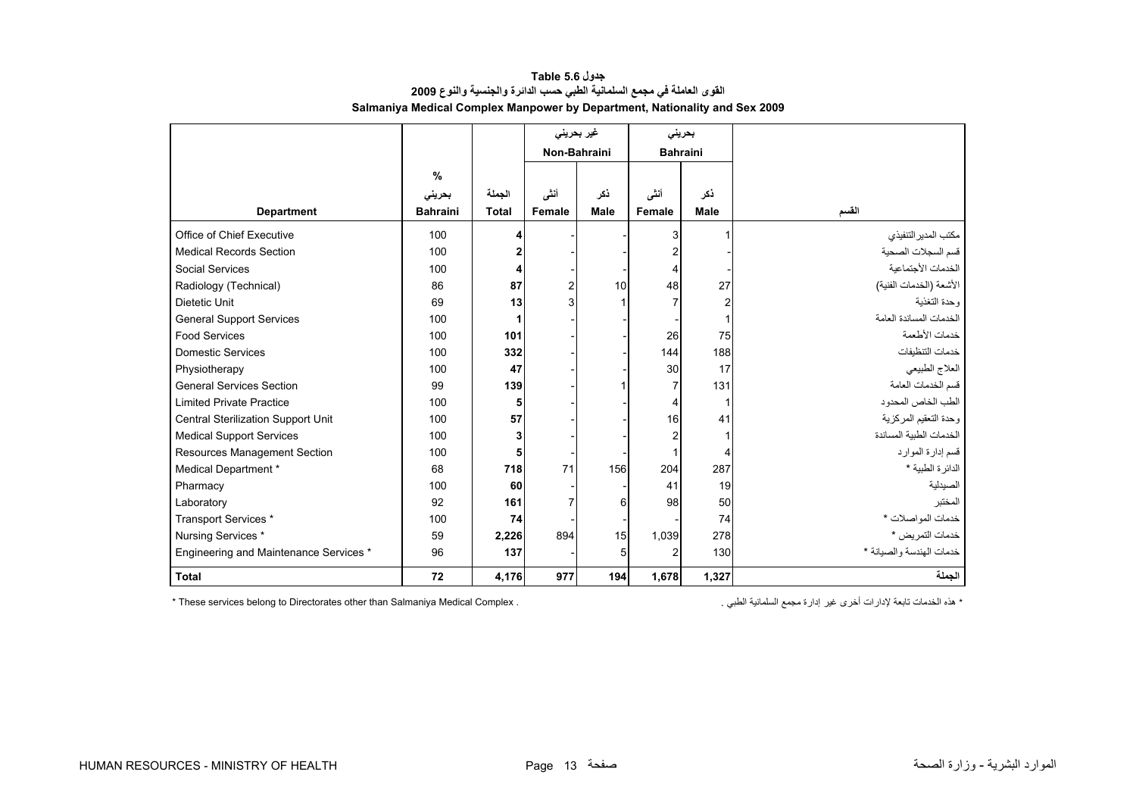<span id="page-11-0"></span>

|                                        |                 |              |              | غیر بحرینی  |                 | بحريني         |                          |
|----------------------------------------|-----------------|--------------|--------------|-------------|-----------------|----------------|--------------------------|
|                                        |                 |              | Non-Bahraini |             | <b>Bahraini</b> |                |                          |
|                                        | $\%$            |              |              |             |                 |                |                          |
|                                        | بحرينى          | الجملة       | أننى         | ذكر         | أنشى            | نكر            |                          |
| <b>Department</b>                      | <b>Bahraini</b> | <b>Total</b> | Female       | <b>Male</b> | Female          | <b>Male</b>    | القسم                    |
|                                        |                 |              |              |             |                 |                |                          |
| Office of Chief Executive              | 100             | 4            |              |             |                 |                | مكتب المدير التنفيذي     |
| <b>Medical Records Section</b>         | 100             | $\mathbf{2}$ |              |             |                 |                | قسم السجلات الصحية       |
| <b>Social Services</b>                 | 100             | 4            |              |             |                 |                | الخدمات الأجتماعية       |
| Radiology (Technical)                  | 86              | 87           | 2            | 10          | 48              | 27             | الأشعة (الخدمات الفنية)  |
| Dietetic Unit                          | 69              | 13           | 3            |             |                 | $\overline{c}$ | وحدة التغذية             |
| <b>General Support Services</b>        | 100             | 1            |              |             |                 | 1              | الخدمات المساندة العامة  |
| <b>Food Services</b>                   | 100             | 101          |              |             | 26              | 75             | خدمات الأطعمة            |
| <b>Domestic Services</b>               | 100             | 332          |              |             | 144             | 188            | خدمات التنظيفات          |
| Physiotherapy                          | 100             | 47           |              |             | 30              | 17             | العلاج الطبيعي           |
| <b>General Services Section</b>        | 99              | 139          |              |             |                 | 131            | قسم الخدمات العامة       |
| <b>Limited Private Practice</b>        | 100             | 5            |              |             |                 | ŕ              | الطب الخاص المحدود       |
| Central Sterilization Support Unit     | 100             | 57           |              |             | 16              | 41             | وحدة التعقيم المركزية    |
| <b>Medical Support Services</b>        | 100             | 3            |              |             |                 |                | الخدمات الطببة المساندة  |
| Resources Management Section           | 100             | 5            |              |             |                 | Δ              | قسم إدارة الموارد        |
| Medical Department *                   | 68              | 718          | 71           | 156         | 204             | 287            | الدائر ة الطبية *        |
| Pharmacy                               | 100             | 60           |              |             | 41              | 19             | الصيدلية                 |
| Laboratory                             | 92              | 161          |              | 6           | 98              | 50             | المخنبر                  |
| Transport Services *                   | 100             | 74           |              |             |                 | 74             | خدمات المواصلات *        |
| Nursing Services *                     | 59              | 2,226        | 894          | 15          | 1,039           | 278            | خدمات التمريض *          |
| Engineering and Maintenance Services * | 96              | 137          |              | 5           | $\mathcal{P}$   | 130            | خدمات الهندسة والصيانة * |
| <b>Total</b>                           | 72              | 4,176        | 977          | 194         | 1,678           | 1,327          | الجملة                   |

# **جدول 5.6 Table القوى العاملة في مجمع السلمانية الطبي حسب الدائرة والجنسية والنوع <sup>2009</sup> Salmaniya Medical Complex Manpower by Department, Nationality and Sex 2009**

 $*$  These services belong to Directorates other than Salmaniya Medical Complex .

\* هذه الخدمات تابعة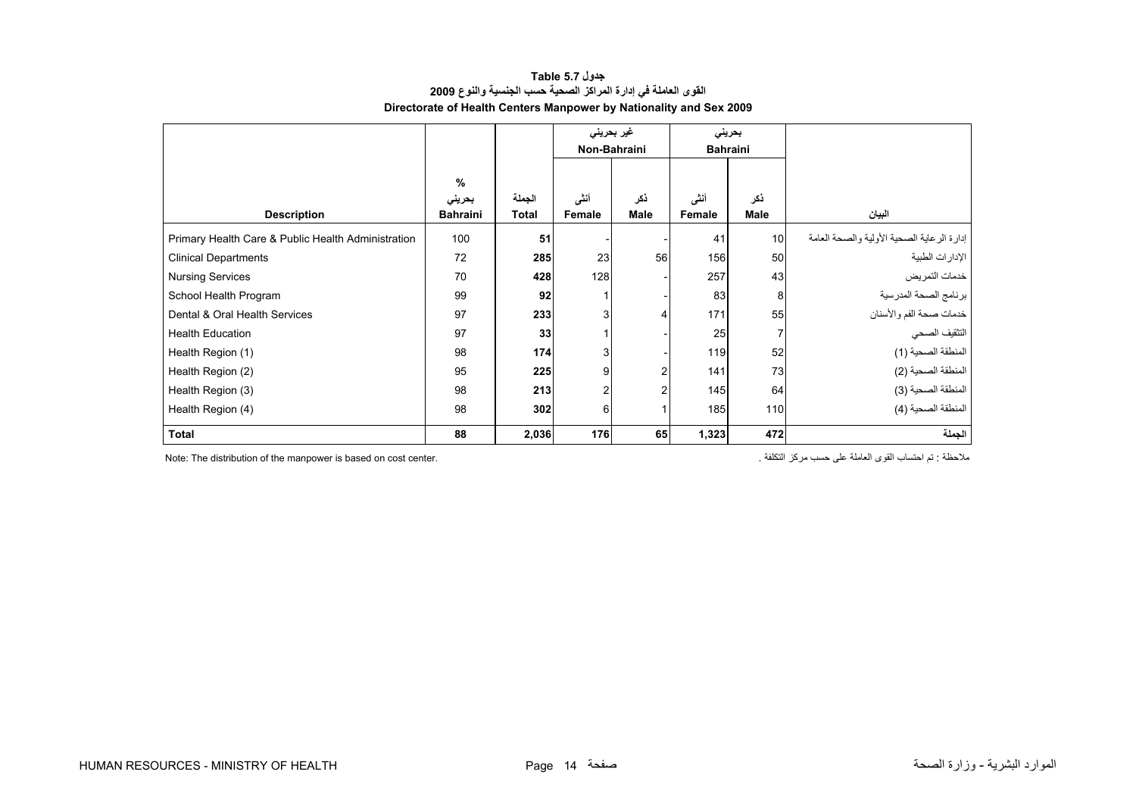# **جدول 5.7 Table القوى العاملة في إدارة المراآز الصحية حسب الجنسية والنوع <sup>2009</sup> Directorate of Health Centers Manpower by Nationality and Sex 2009**

<span id="page-12-0"></span>

|                                                    |                                            |                 | غیر بحرینی     |             |                | بحريني          |                                              |
|----------------------------------------------------|--------------------------------------------|-----------------|----------------|-------------|----------------|-----------------|----------------------------------------------|
|                                                    |                                            |                 | Non-Bahraini   |             |                | <b>Bahraini</b> |                                              |
| <b>Description</b>                                 | $\frac{9}{6}$<br>بحرينى<br><b>Bahraini</b> | الجملة<br>Total | أنشى<br>Female | ذكر<br>Male | أنشى<br>Female | ذكر<br>Male     | البيان                                       |
| Primary Health Care & Public Health Administration | 100                                        | 51              |                |             | 41             | 10              | إدار ة الر عاية الصحية الأولية والصحة العامة |
| <b>Clinical Departments</b>                        | 72                                         | 285             | 23             | 56          | 156            | 50              | الإدار ات الطبية                             |
| <b>Nursing Services</b>                            | 70                                         | 428             | 128            |             | 257            | 43              | خدمات التمريض                                |
| School Health Program                              | 99                                         | 92              |                |             | 83             | 8               | برنامج الصحة المدرسية                        |
| Dental & Oral Health Services                      | 97                                         | 233             | 3 <sub>l</sub> |             | 171            | 55              | خدمات صحة الفم والأسنان                      |
| <b>Health Education</b>                            | 97                                         | 33              |                |             | 25             | 7               | التثقيف الصحي                                |
| Health Region (1)                                  | 98                                         | 174             | 3 <sub>l</sub> |             | 119            | 52              | المنطقة الصحية (1)                           |
| Health Region (2)                                  | 95                                         | 225             | 9              |             | 141            | 73              | المنطقة الصحية (2)                           |
| Health Region (3)                                  | 98                                         | 213             | $\overline{a}$ | 2           | 145            | 64              | المنطقة الصحية (3)                           |
| Health Region (4)                                  | 98                                         | 302             | 6              |             | 185            | 110             | المنطقة الصحية (4)                           |
| <b>Total</b>                                       | 88                                         | 2,036           | 176            | 65          | 1,323          | 472             | الجملة                                       |

ملاحظة : تم احتساب القوى العاملة على حسب مركز التكلفة . " Note: The distribution of the manpower is based on cost center.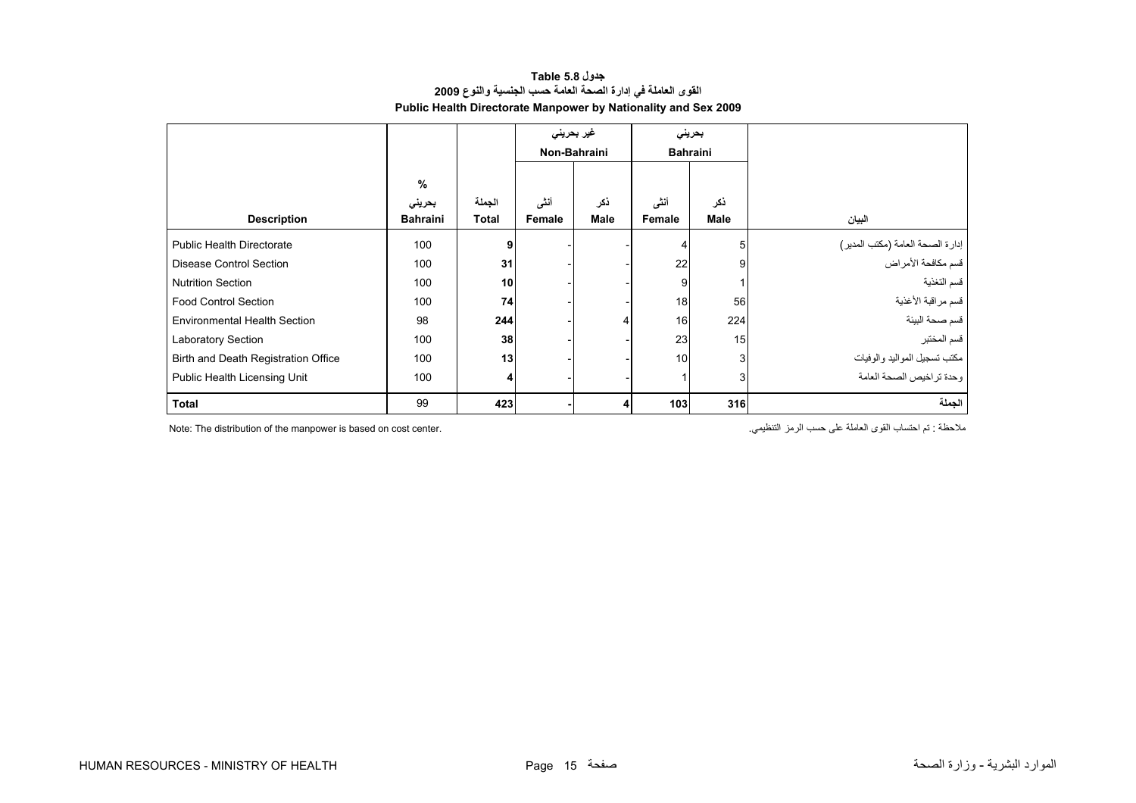| جدول Table 5.8                                                 |
|----------------------------------------------------------------|
| القوى العاملة في إدارة الصحة العامة حسب الجنسية والنوع 2009    |
| Public Health Directorate Manpower by Nationality and Sex 2009 |

<span id="page-13-0"></span>

|                                     |                 |        |        | غیر بحرین <i>ی</i><br>بحريني |                 |             |                                                        |
|-------------------------------------|-----------------|--------|--------|------------------------------|-----------------|-------------|--------------------------------------------------------|
|                                     |                 |        |        | Non-Bahraini                 | <b>Bahraini</b> |             |                                                        |
|                                     | %               |        |        |                              |                 |             |                                                        |
|                                     | بحريني          | الجملة | أنشى   | ذكر                          | أنشى            | نكر         |                                                        |
| <b>Description</b>                  | <b>Bahraini</b> | Total  | Female | <b>Male</b>                  | Female          | <b>Male</b> | البيان                                                 |
| <b>Public Health Directorate</b>    | 100             | 9      |        |                              | 4               | 5           |                                                        |
| Disease Control Section             | 100             | 31     |        |                              | 22              | 9           | إدارة الصحة العامة (مكتب المدير)<br>قسم مكافحة الأمراض |
| <b>Nutrition Section</b>            | 100             | 10     |        |                              | 9               |             | قسم التغذية                                            |
| <b>Food Control Section</b>         | 100             | 74     |        |                              | 18              | 56          | فسم مراقبة الأغذية                                     |
| <b>Environmental Health Section</b> | 98              | 244    |        |                              | 16              | 224         | قسم صحة البيئة                                         |
| Laboratory Section                  | 100             | 38     |        |                              | 23              | 15          | قسم المختبر                                            |
| Birth and Death Registration Office | 100             | 13     |        |                              | 10              | 3           | مكتب تسجيل المواليد والوفيات                           |
| Public Health Licensing Unit        | 100             | 4      |        |                              | 1               | 3           | وحدة تراخيص الصحة العامة                               |
| Total                               | 99              | 423    |        |                              | 103             | 316         | الجملة                                                 |

Note: The distribution of the manpower is based on cost center. .التنظيمي الرمز حسب على العاملة القوى احتساب تم : ملاحظة